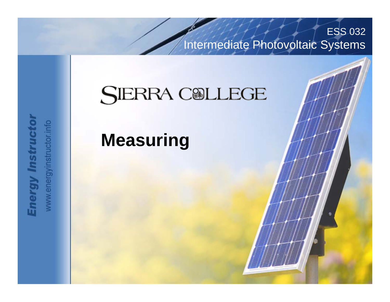Intermediate Photovoltaic Systems

ESS 032

## **SIERRA COLLEGE**

Advanced Photovoltaic Systems

#### **Measuring**

**Energy Instructor** www.energyinstructor.info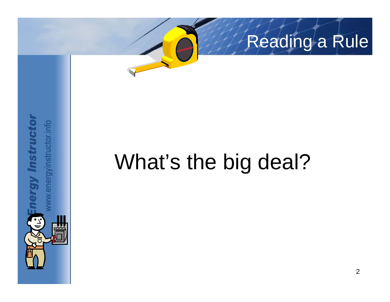

# What's the big deal?

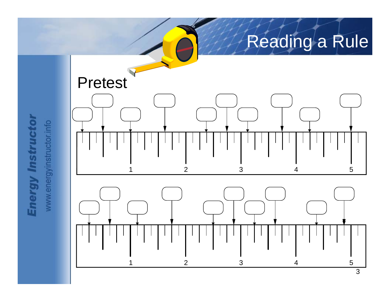

**Energy Instructor** 

www.energyinstructor.info

3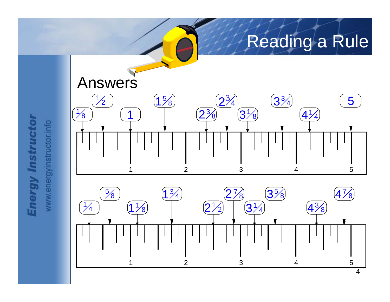

**Energy Instructor** www.energyinstructor.info

4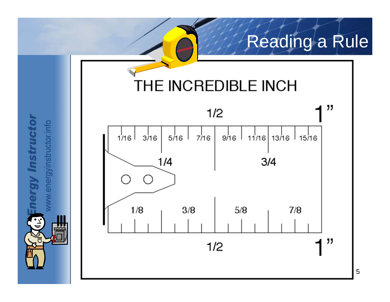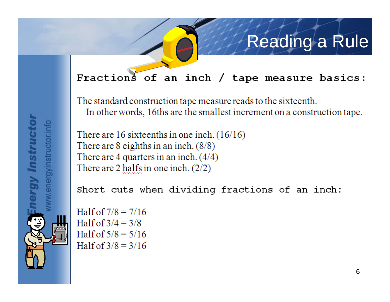#### Fractions of an inch / tape measure basics:

The standard construction tape measure reads to the sixteenth. In other words, 16ths are the smallest increment on a construction tape.

There are 16 sixteenths in one inch.  $(16/16)$ There are  $8$  eighths in an inch.  $(8/8)$ There are 4 quarters in an inch.  $(4/4)$ There are 2 halfs in one inch.  $(2/2)$ 

Short cuts when dividing fractions of an inch:

Half of  $7/8 = 7/16$ Half of  $3/4 = 3/8$ Half of  $5/8 = 5/16$ Half of  $3/8 = 3/16$ 

energyinstructor.info

ray Instruct

6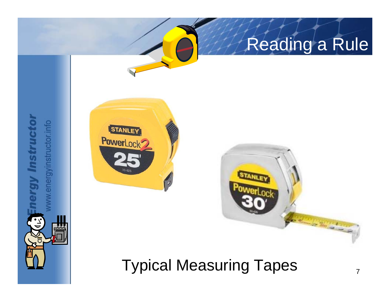

rgy Instructor

 $\left(\frac{1}{2}\right)$ 

w.energyinstructor.info



#### Typical Measuring Tapes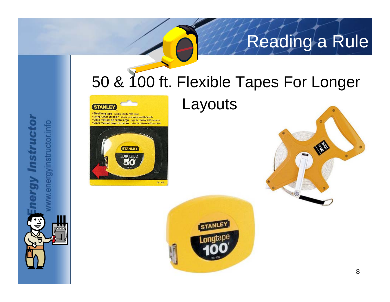## 50 & 100 ft. Flexible Tapes For Longer



Steel long tape durable plastic ABS case Long ruban en acier boitier en plastique ABS durable Cinta métrica de acero larga caja de plástico ABS durable Cinta métrica larga de acero caixa de plástico ABS durável



.energyinstructor.info

gy Instruct

#### Layouts



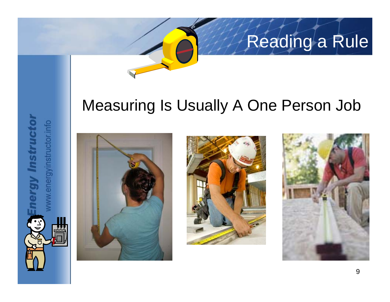#### Measuring Is Usually A One Person Job



gy Instructo

energyinstructor.info



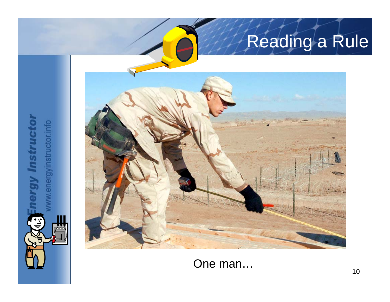

gy Instructor

J)<br>J

**VERE** 

rw.energyinstructor.info

One man...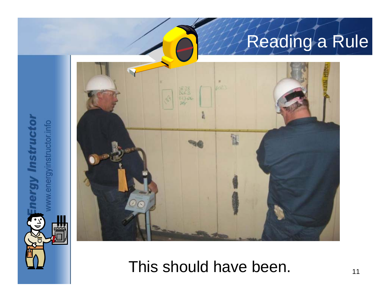

ergy Instructor

E-J

**AND** 

ww.energyinstructor.info

#### This should have been.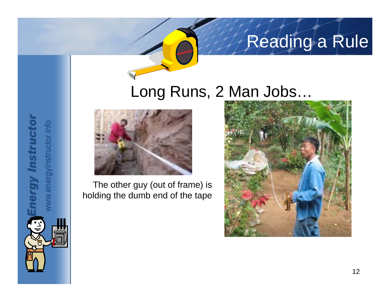#### Long Runs, 2 Man Jobs…



rgy Instructor

w.energyinstructor.info

The other guy (out of frame) is holding the dumb end of the tape

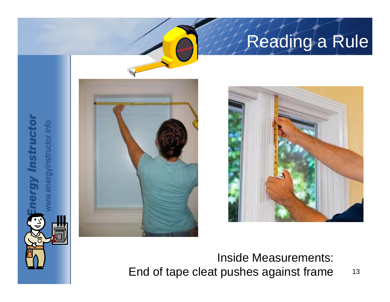

gy Instructor

energyinstructor.info



#### Inside Measurements: End of tape cleat pushes against frame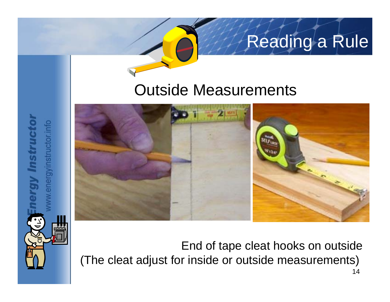#### Outside Measurements



energyinstructor.info

**Instruct** 

End of tape cleat hooks on outside (The cleat adjust for inside or outside measurements)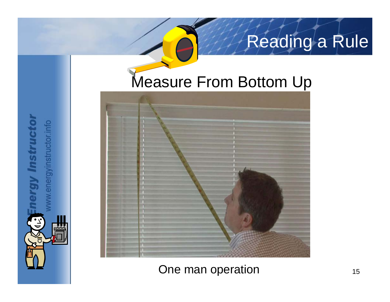#### Measure From Bottom Up



nergy Instructor

TE)

One man operation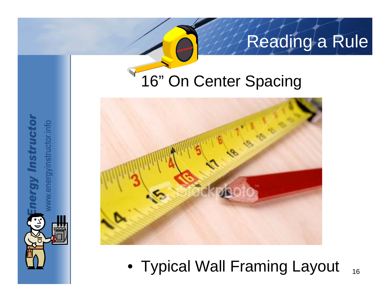#### 16" On Center Spacing



16• Typical Wall Framing Layout

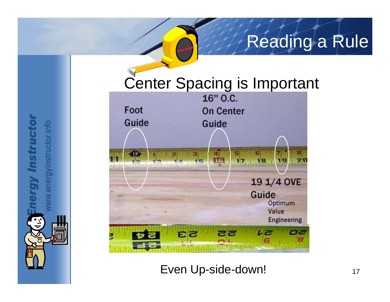Center Spacing is Important<br>16" 0.c. Foot **On Center** Guide Guide in in a musical statistics with Command Film B march) ubuhududunimahada 19 1/4 OVE Guide Optimum Value **Engineering EZ** 

rgy Instructor

 $\mathbf{r}$ 

w.energyinstructor.info

Even Up-side-down!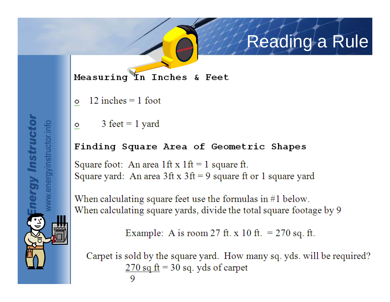Measuring In Inches & Feet

- $12$  inches = 1 foot  $\circ$
- $3 \text{ feet} = 1 \text{ yard}$  $\overline{O}$

**argy Instructor** 

energyinstructor.info

#### Finding Square Area of Geometric Shapes

Square foot: An area 1ft x  $1 \text{ ft} = 1$  square ft. Square yard: An area  $3$ ft x  $3$ ft = 9 square ft or 1 square yard

When calculating square feet use the formulas in  $#1$  below. When calculating square yards, divide the total square footage by 9

```
Example: A is room 27 ft. x 10 ft. = 270 sq. ft.
```
Carpet is sold by the square yard. How many sq. yds. will be required?  $\frac{270 \text{ sq ft}}{270 \text{ sq}}$  = 30 sq. yds of carpet 9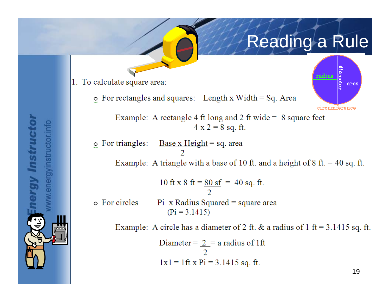

1. To calculate square area:

 $\circ$  For rectangles and squares: Length x Width = Sq. Area

Example: A rectangle 4 ft long and 2 ft wide =  $\theta$  square feet  $4 x 2 = 8 sq. ft.$ 

 $\circ$  For triangles: <u>Base x Height</u> = sq. area Example: A triangle with a base of 10 ft. and a height of 8 ft.  $=$  40 sq. ft.

10 ft x 8 ft =  $\frac{80 \text{ sf}}{10 \text{ kg}}$  = 40 sq. ft. o For circles  $Pi$  x Radius Squared = square area  $(Pi = 3.1415)$ 

Example: A circle has a diameter of 2 ft. & a radius of 1 ft =  $3.1415$  sq. ft.

Diameter = 
$$
\frac{2}{2}
$$
 = a radius of 1 ft  
1x1 = 1 ft x Pi = 3.1415 sq. ft.

**ergy Instructor** energyinstructor.info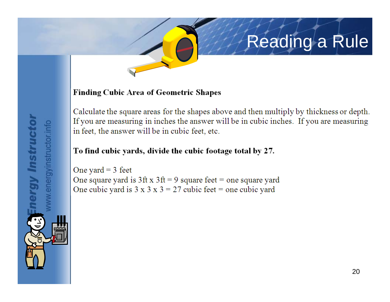#### **Finding Cubic Area of Geometric Shapes**

Calculate the square areas for the shapes above and then multiply by thickness or depth. If you are measuring in inches the answer will be in cubic inches. If you are measuring in feet, the answer will be in cubic feet, etc.

#### To find cubic yards, divide the cubic footage total by 27.

One yard =  $3$  feet One square yard is  $3 \text{ ft} \times 3 \text{ ft} = 9$  square feet = one square yard One cubic yard is  $3 \times 3 \times 3 = 27$  cubic feet = one cubic yard

energyinstructor.info rgy Instruct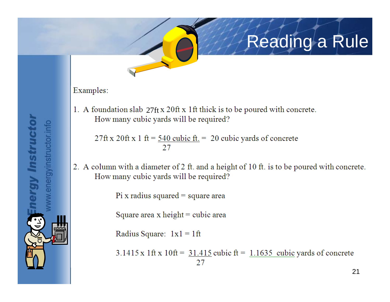#### Examples:

**Pray Instructor** 

energyinstructor.info

1. A foundation slab  $27$ ft x  $20$ ft x 1ft thick is to be poured with concrete. How many cubic yards will be required?

27ft x 20ft x 1 ft =  $\frac{540 \text{ cubic ft}}{1}$  = 20 cubic yards of concrete 27

2. A column with a diameter of 2 ft. and a height of 10 ft. is to be poured with concrete. How many cubic yards will be required?

Pi x radius squared  $=$  square area

Square area x height = cubic area

Radius Square:  $1x1 = 1$ ft

 $3.1415 \times 1$  ft x 10ft =  $31.415$  cubic ft = 1.1635 cubic yards of concrete 27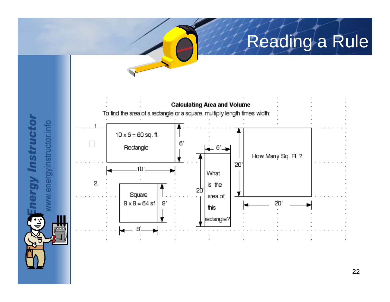

rgy Instructor

 $\left(\frac{1}{2}\right)$ 

w.energyinstructor.info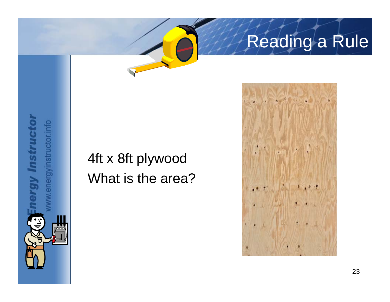#### 4ft x 8ft plywood What is the area?

rgy Instructor

energyinstructor.info

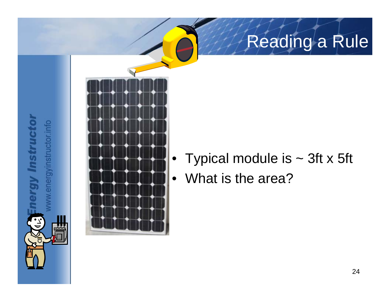

**argy Instructor** 

 $\left(\frac{1}{2}\right)$ 

rw.energyinstructor.info

- Typical module is  $\sim$  3ft x 5ft
- What is the area?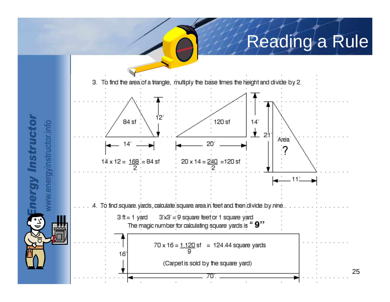

rgy Instructo

 $\left(\frac{1}{2}\right)$ 

w.energyinstructor.info

25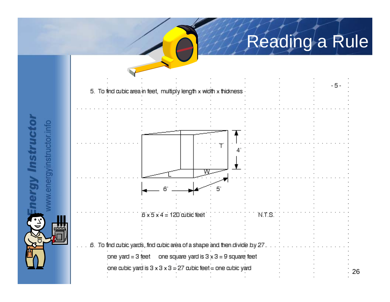

rgy Instructor

 $\mathbf{r}$ 

w.energyinstructor.info